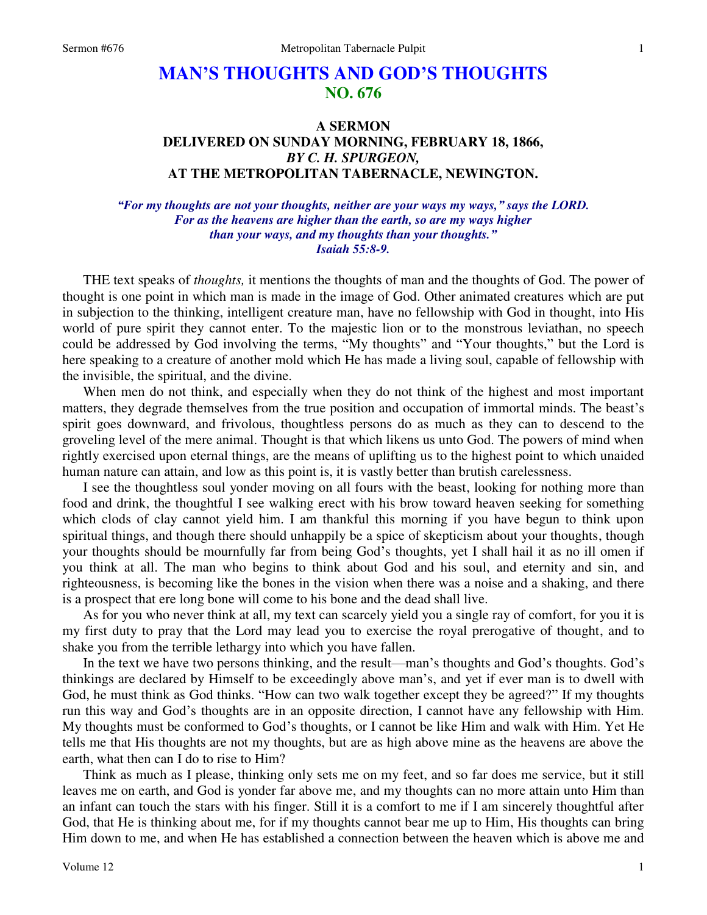# **MAN'S THOUGHTS AND GOD'S THOUGHTS NO. 676**

## **A SERMON DELIVERED ON SUNDAY MORNING, FEBRUARY 18, 1866,**  *BY C. H. SPURGEON,* **AT THE METROPOLITAN TABERNACLE, NEWINGTON.**

### *"For my thoughts are not your thoughts, neither are your ways my ways," says the LORD. For as the heavens are higher than the earth, so are my ways higher than your ways, and my thoughts than your thoughts." Isaiah 55:8-9.*

 THE text speaks of *thoughts,* it mentions the thoughts of man and the thoughts of God. The power of thought is one point in which man is made in the image of God. Other animated creatures which are put in subjection to the thinking, intelligent creature man, have no fellowship with God in thought, into His world of pure spirit they cannot enter. To the majestic lion or to the monstrous leviathan, no speech could be addressed by God involving the terms, "My thoughts" and "Your thoughts," but the Lord is here speaking to a creature of another mold which He has made a living soul, capable of fellowship with the invisible, the spiritual, and the divine.

 When men do not think, and especially when they do not think of the highest and most important matters, they degrade themselves from the true position and occupation of immortal minds. The beast's spirit goes downward, and frivolous, thoughtless persons do as much as they can to descend to the groveling level of the mere animal. Thought is that which likens us unto God. The powers of mind when rightly exercised upon eternal things, are the means of uplifting us to the highest point to which unaided human nature can attain, and low as this point is, it is vastly better than brutish carelessness.

 I see the thoughtless soul yonder moving on all fours with the beast, looking for nothing more than food and drink, the thoughtful I see walking erect with his brow toward heaven seeking for something which clods of clay cannot yield him. I am thankful this morning if you have begun to think upon spiritual things, and though there should unhappily be a spice of skepticism about your thoughts, though your thoughts should be mournfully far from being God's thoughts, yet I shall hail it as no ill omen if you think at all. The man who begins to think about God and his soul, and eternity and sin, and righteousness, is becoming like the bones in the vision when there was a noise and a shaking, and there is a prospect that ere long bone will come to his bone and the dead shall live.

 As for you who never think at all, my text can scarcely yield you a single ray of comfort, for you it is my first duty to pray that the Lord may lead you to exercise the royal prerogative of thought, and to shake you from the terrible lethargy into which you have fallen.

 In the text we have two persons thinking, and the result—man's thoughts and God's thoughts. God's thinkings are declared by Himself to be exceedingly above man's, and yet if ever man is to dwell with God, he must think as God thinks. "How can two walk together except they be agreed?" If my thoughts run this way and God's thoughts are in an opposite direction, I cannot have any fellowship with Him. My thoughts must be conformed to God's thoughts, or I cannot be like Him and walk with Him. Yet He tells me that His thoughts are not my thoughts, but are as high above mine as the heavens are above the earth, what then can I do to rise to Him?

 Think as much as I please, thinking only sets me on my feet, and so far does me service, but it still leaves me on earth, and God is yonder far above me, and my thoughts can no more attain unto Him than an infant can touch the stars with his finger. Still it is a comfort to me if I am sincerely thoughtful after God, that He is thinking about me, for if my thoughts cannot bear me up to Him, His thoughts can bring Him down to me, and when He has established a connection between the heaven which is above me and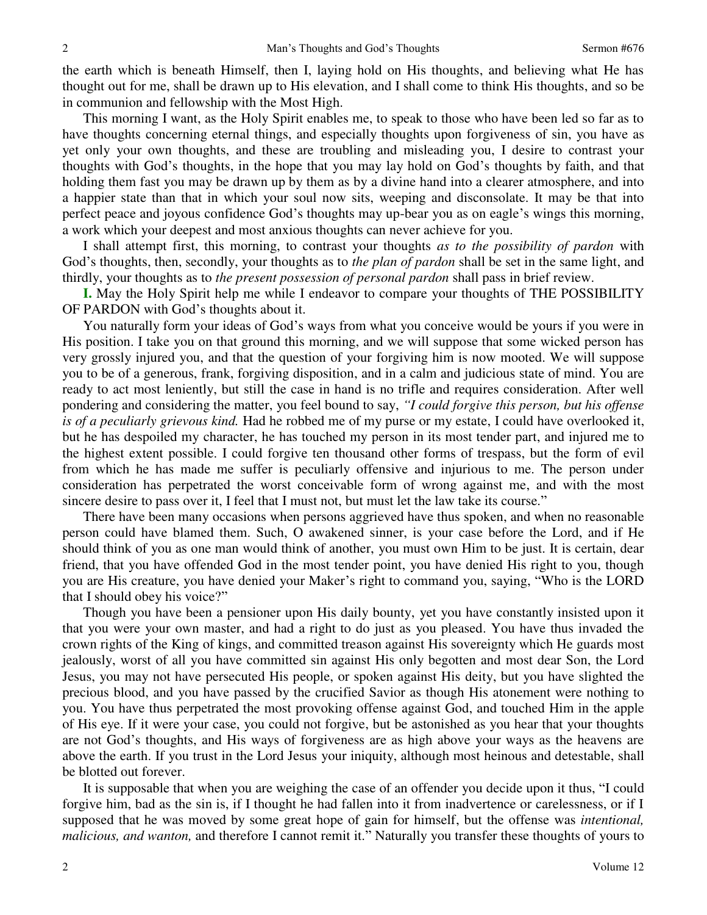the earth which is beneath Himself, then I, laying hold on His thoughts, and believing what He has thought out for me, shall be drawn up to His elevation, and I shall come to think His thoughts, and so be in communion and fellowship with the Most High.

 This morning I want, as the Holy Spirit enables me, to speak to those who have been led so far as to have thoughts concerning eternal things, and especially thoughts upon forgiveness of sin, you have as yet only your own thoughts, and these are troubling and misleading you, I desire to contrast your thoughts with God's thoughts, in the hope that you may lay hold on God's thoughts by faith, and that holding them fast you may be drawn up by them as by a divine hand into a clearer atmosphere, and into a happier state than that in which your soul now sits, weeping and disconsolate. It may be that into perfect peace and joyous confidence God's thoughts may up-bear you as on eagle's wings this morning, a work which your deepest and most anxious thoughts can never achieve for you.

 I shall attempt first, this morning, to contrast your thoughts *as to the possibility of pardon* with God's thoughts, then, secondly, your thoughts as to *the plan of pardon* shall be set in the same light, and thirdly, your thoughts as to *the present possession of personal pardon* shall pass in brief review.

**I.** May the Holy Spirit help me while I endeavor to compare your thoughts of THE POSSIBILITY OF PARDON with God's thoughts about it.

 You naturally form your ideas of God's ways from what you conceive would be yours if you were in His position. I take you on that ground this morning, and we will suppose that some wicked person has very grossly injured you, and that the question of your forgiving him is now mooted. We will suppose you to be of a generous, frank, forgiving disposition, and in a calm and judicious state of mind. You are ready to act most leniently, but still the case in hand is no trifle and requires consideration. After well pondering and considering the matter, you feel bound to say, *"I could forgive this person, but his offense is of a peculiarly grievous kind.* Had he robbed me of my purse or my estate, I could have overlooked it, but he has despoiled my character, he has touched my person in its most tender part, and injured me to the highest extent possible. I could forgive ten thousand other forms of trespass, but the form of evil from which he has made me suffer is peculiarly offensive and injurious to me. The person under consideration has perpetrated the worst conceivable form of wrong against me, and with the most sincere desire to pass over it, I feel that I must not, but must let the law take its course."

 There have been many occasions when persons aggrieved have thus spoken, and when no reasonable person could have blamed them. Such, O awakened sinner, is your case before the Lord, and if He should think of you as one man would think of another, you must own Him to be just. It is certain, dear friend, that you have offended God in the most tender point, you have denied His right to you, though you are His creature, you have denied your Maker's right to command you, saying, "Who is the LORD that I should obey his voice?"

 Though you have been a pensioner upon His daily bounty, yet you have constantly insisted upon it that you were your own master, and had a right to do just as you pleased. You have thus invaded the crown rights of the King of kings, and committed treason against His sovereignty which He guards most jealously, worst of all you have committed sin against His only begotten and most dear Son, the Lord Jesus, you may not have persecuted His people, or spoken against His deity, but you have slighted the precious blood, and you have passed by the crucified Savior as though His atonement were nothing to you. You have thus perpetrated the most provoking offense against God, and touched Him in the apple of His eye. If it were your case, you could not forgive, but be astonished as you hear that your thoughts are not God's thoughts, and His ways of forgiveness are as high above your ways as the heavens are above the earth. If you trust in the Lord Jesus your iniquity, although most heinous and detestable, shall be blotted out forever.

 It is supposable that when you are weighing the case of an offender you decide upon it thus, "I could forgive him, bad as the sin is, if I thought he had fallen into it from inadvertence or carelessness, or if I supposed that he was moved by some great hope of gain for himself, but the offense was *intentional, malicious, and wanton,* and therefore I cannot remit it." Naturally you transfer these thoughts of yours to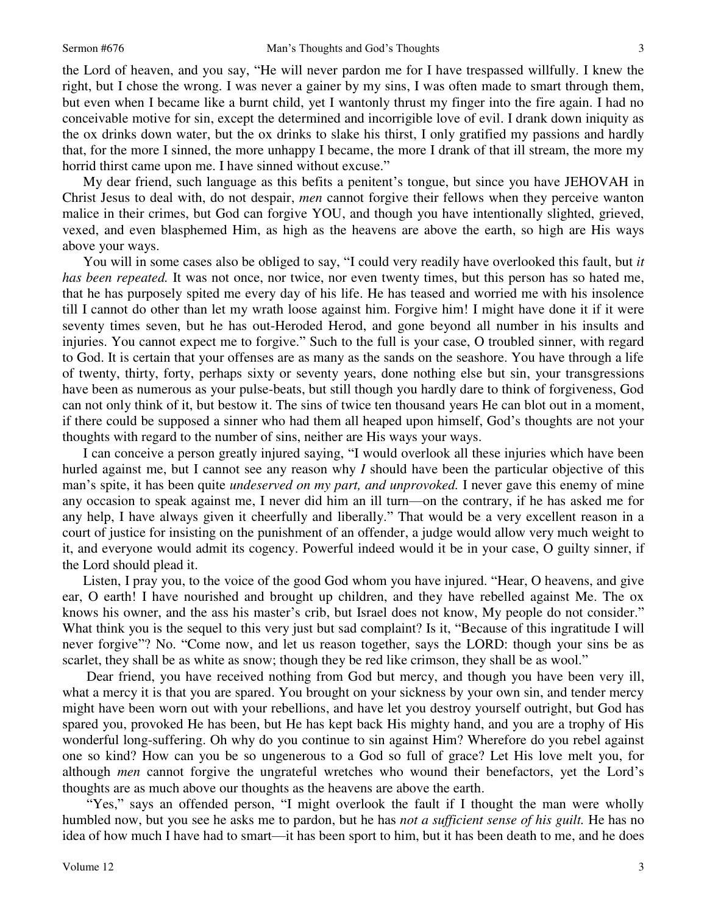the Lord of heaven, and you say, "He will never pardon me for I have trespassed willfully. I knew the right, but I chose the wrong. I was never a gainer by my sins, I was often made to smart through them, but even when I became like a burnt child, yet I wantonly thrust my finger into the fire again. I had no conceivable motive for sin, except the determined and incorrigible love of evil. I drank down iniquity as the ox drinks down water, but the ox drinks to slake his thirst, I only gratified my passions and hardly that, for the more I sinned, the more unhappy I became, the more I drank of that ill stream, the more my horrid thirst came upon me. I have sinned without excuse."

 My dear friend, such language as this befits a penitent's tongue, but since you have JEHOVAH in Christ Jesus to deal with, do not despair, *men* cannot forgive their fellows when they perceive wanton malice in their crimes, but God can forgive YOU, and though you have intentionally slighted, grieved, vexed, and even blasphemed Him, as high as the heavens are above the earth, so high are His ways above your ways.

 You will in some cases also be obliged to say, "I could very readily have overlooked this fault, but *it has been repeated.* It was not once, nor twice, nor even twenty times, but this person has so hated me, that he has purposely spited me every day of his life. He has teased and worried me with his insolence till I cannot do other than let my wrath loose against him. Forgive him! I might have done it if it were seventy times seven, but he has out-Heroded Herod, and gone beyond all number in his insults and injuries. You cannot expect me to forgive." Such to the full is your case, O troubled sinner, with regard to God. It is certain that your offenses are as many as the sands on the seashore. You have through a life of twenty, thirty, forty, perhaps sixty or seventy years, done nothing else but sin, your transgressions have been as numerous as your pulse-beats, but still though you hardly dare to think of forgiveness, God can not only think of it, but bestow it. The sins of twice ten thousand years He can blot out in a moment, if there could be supposed a sinner who had them all heaped upon himself, God's thoughts are not your thoughts with regard to the number of sins, neither are His ways your ways.

 I can conceive a person greatly injured saying, "I would overlook all these injuries which have been hurled against me, but I cannot see any reason why *I* should have been the particular objective of this man's spite, it has been quite *undeserved on my part, and unprovoked.* I never gave this enemy of mine any occasion to speak against me, I never did him an ill turn—on the contrary, if he has asked me for any help, I have always given it cheerfully and liberally." That would be a very excellent reason in a court of justice for insisting on the punishment of an offender, a judge would allow very much weight to it, and everyone would admit its cogency. Powerful indeed would it be in your case, O guilty sinner, if the Lord should plead it.

 Listen, I pray you, to the voice of the good God whom you have injured. "Hear, O heavens, and give ear, O earth! I have nourished and brought up children, and they have rebelled against Me. The ox knows his owner, and the ass his master's crib, but Israel does not know, My people do not consider." What think you is the sequel to this very just but sad complaint? Is it, "Because of this ingratitude I will never forgive"? No. "Come now, and let us reason together, says the LORD: though your sins be as scarlet, they shall be as white as snow; though they be red like crimson, they shall be as wool."

 Dear friend, you have received nothing from God but mercy, and though you have been very ill, what a mercy it is that you are spared. You brought on your sickness by your own sin, and tender mercy might have been worn out with your rebellions, and have let you destroy yourself outright, but God has spared you, provoked He has been, but He has kept back His mighty hand, and you are a trophy of His wonderful long-suffering. Oh why do you continue to sin against Him? Wherefore do you rebel against one so kind? How can you be so ungenerous to a God so full of grace? Let His love melt you, for although *men* cannot forgive the ungrateful wretches who wound their benefactors, yet the Lord's thoughts are as much above our thoughts as the heavens are above the earth.

"Yes," says an offended person, "I might overlook the fault if I thought the man were wholly humbled now, but you see he asks me to pardon, but he has *not a sufficient sense of his guilt.* He has no idea of how much I have had to smart—it has been sport to him, but it has been death to me, and he does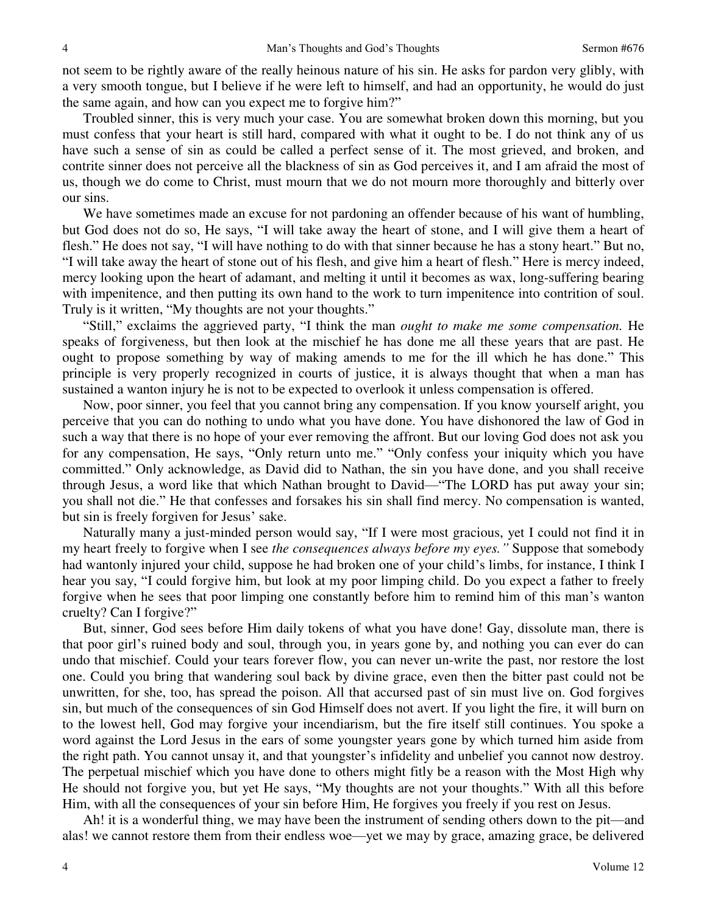not seem to be rightly aware of the really heinous nature of his sin. He asks for pardon very glibly, with a very smooth tongue, but I believe if he were left to himself, and had an opportunity, he would do just the same again, and how can you expect me to forgive him?"

 Troubled sinner, this is very much your case. You are somewhat broken down this morning, but you must confess that your heart is still hard, compared with what it ought to be. I do not think any of us have such a sense of sin as could be called a perfect sense of it. The most grieved, and broken, and contrite sinner does not perceive all the blackness of sin as God perceives it, and I am afraid the most of us, though we do come to Christ, must mourn that we do not mourn more thoroughly and bitterly over our sins.

 We have sometimes made an excuse for not pardoning an offender because of his want of humbling, but God does not do so, He says, "I will take away the heart of stone, and I will give them a heart of flesh." He does not say, "I will have nothing to do with that sinner because he has a stony heart." But no, "I will take away the heart of stone out of his flesh, and give him a heart of flesh." Here is mercy indeed, mercy looking upon the heart of adamant, and melting it until it becomes as wax, long-suffering bearing with impenitence, and then putting its own hand to the work to turn impenitence into contrition of soul. Truly is it written, "My thoughts are not your thoughts."

"Still," exclaims the aggrieved party, "I think the man *ought to make me some compensation.* He speaks of forgiveness, but then look at the mischief he has done me all these years that are past. He ought to propose something by way of making amends to me for the ill which he has done." This principle is very properly recognized in courts of justice, it is always thought that when a man has sustained a wanton injury he is not to be expected to overlook it unless compensation is offered.

 Now, poor sinner, you feel that you cannot bring any compensation. If you know yourself aright, you perceive that you can do nothing to undo what you have done. You have dishonored the law of God in such a way that there is no hope of your ever removing the affront. But our loving God does not ask you for any compensation, He says, "Only return unto me." "Only confess your iniquity which you have committed." Only acknowledge, as David did to Nathan, the sin you have done, and you shall receive through Jesus, a word like that which Nathan brought to David—"The LORD has put away your sin; you shall not die." He that confesses and forsakes his sin shall find mercy. No compensation is wanted, but sin is freely forgiven for Jesus' sake.

 Naturally many a just-minded person would say, "If I were most gracious, yet I could not find it in my heart freely to forgive when I see *the consequences always before my eyes."* Suppose that somebody had wantonly injured your child, suppose he had broken one of your child's limbs, for instance, I think I hear you say, "I could forgive him, but look at my poor limping child. Do you expect a father to freely forgive when he sees that poor limping one constantly before him to remind him of this man's wanton cruelty? Can I forgive?"

 But, sinner, God sees before Him daily tokens of what you have done! Gay, dissolute man, there is that poor girl's ruined body and soul, through you, in years gone by, and nothing you can ever do can undo that mischief. Could your tears forever flow, you can never un-write the past, nor restore the lost one. Could you bring that wandering soul back by divine grace, even then the bitter past could not be unwritten, for she, too, has spread the poison. All that accursed past of sin must live on. God forgives sin, but much of the consequences of sin God Himself does not avert. If you light the fire, it will burn on to the lowest hell, God may forgive your incendiarism, but the fire itself still continues. You spoke a word against the Lord Jesus in the ears of some youngster years gone by which turned him aside from the right path. You cannot unsay it, and that youngster's infidelity and unbelief you cannot now destroy. The perpetual mischief which you have done to others might fitly be a reason with the Most High why He should not forgive you, but yet He says, "My thoughts are not your thoughts." With all this before Him, with all the consequences of your sin before Him, He forgives you freely if you rest on Jesus.

 Ah! it is a wonderful thing, we may have been the instrument of sending others down to the pit—and alas! we cannot restore them from their endless woe—yet we may by grace, amazing grace, be delivered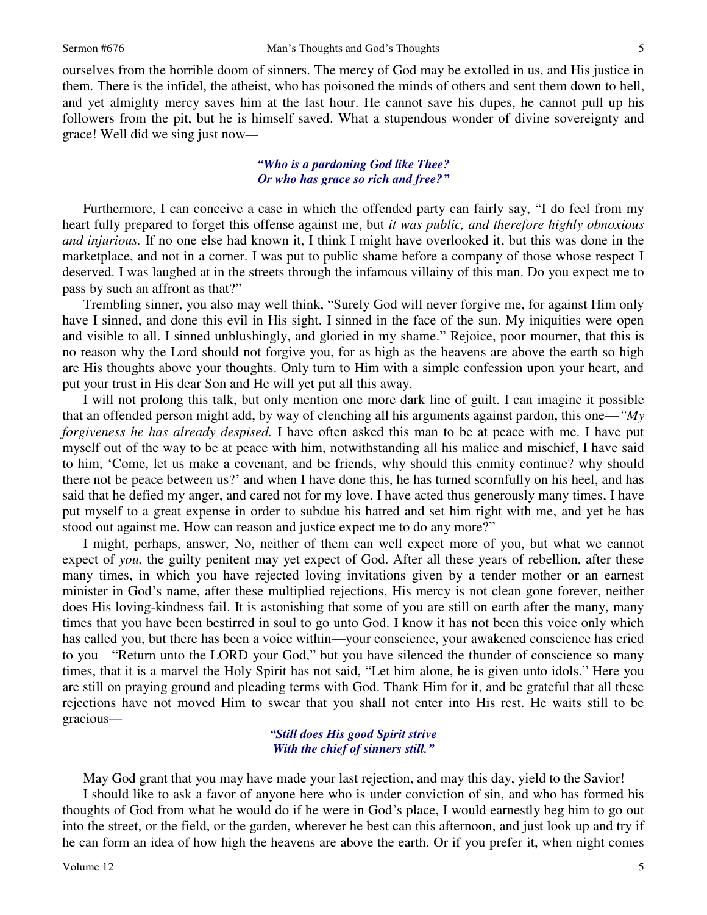ourselves from the horrible doom of sinners. The mercy of God may be extolled in us, and His justice in them. There is the infidel, the atheist, who has poisoned the minds of others and sent them down to hell, and yet almighty mercy saves him at the last hour. He cannot save his dupes, he cannot pull up his followers from the pit, but he is himself saved. What a stupendous wonder of divine sovereignty and grace! Well did we sing just now*—*

#### *"Who is a pardoning God like Thee? Or who has grace so rich and free?"*

Furthermore, I can conceive a case in which the offended party can fairly say, "I do feel from my heart fully prepared to forget this offense against me, but *it was public, and therefore highly obnoxious and injurious.* If no one else had known it, I think I might have overlooked it, but this was done in the marketplace, and not in a corner. I was put to public shame before a company of those whose respect I deserved. I was laughed at in the streets through the infamous villainy of this man. Do you expect me to pass by such an affront as that?"

 Trembling sinner, you also may well think, "Surely God will never forgive me, for against Him only have I sinned, and done this evil in His sight. I sinned in the face of the sun. My iniquities were open and visible to all. I sinned unblushingly, and gloried in my shame." Rejoice, poor mourner, that this is no reason why the Lord should not forgive you, for as high as the heavens are above the earth so high are His thoughts above your thoughts. Only turn to Him with a simple confession upon your heart, and put your trust in His dear Son and He will yet put all this away.

 I will not prolong this talk, but only mention one more dark line of guilt. I can imagine it possible that an offended person might add, by way of clenching all his arguments against pardon, this one—*"My forgiveness he has already despised.* I have often asked this man to be at peace with me. I have put myself out of the way to be at peace with him, notwithstanding all his malice and mischief, I have said to him, 'Come, let us make a covenant, and be friends, why should this enmity continue? why should there not be peace between us?' and when I have done this, he has turned scornfully on his heel, and has said that he defied my anger, and cared not for my love. I have acted thus generously many times, I have put myself to a great expense in order to subdue his hatred and set him right with me, and yet he has stood out against me. How can reason and justice expect me to do any more?"

 I might, perhaps, answer, No, neither of them can well expect more of you, but what we cannot expect of *you,* the guilty penitent may yet expect of God. After all these years of rebellion, after these many times, in which you have rejected loving invitations given by a tender mother or an earnest minister in God's name, after these multiplied rejections, His mercy is not clean gone forever, neither does His loving-kindness fail. It is astonishing that some of you are still on earth after the many, many times that you have been bestirred in soul to go unto God. I know it has not been this voice only which has called you, but there has been a voice within—your conscience, your awakened conscience has cried to you—"Return unto the LORD your God," but you have silenced the thunder of conscience so many times, that it is a marvel the Holy Spirit has not said, "Let him alone, he is given unto idols." Here you are still on praying ground and pleading terms with God. Thank Him for it, and be grateful that all these rejections have not moved Him to swear that you shall not enter into His rest. He waits still to be gracious*—*

#### *"Still does His good Spirit strive With the chief of sinners still."*

 May God grant that you may have made your last rejection, and may this day, yield to the Savior! I should like to ask a favor of anyone here who is under conviction of sin, and who has formed his thoughts of God from what he would do if he were in God's place, I would earnestly beg him to go out into the street, or the field, or the garden, wherever he best can this afternoon, and just look up and try if he can form an idea of how high the heavens are above the earth. Or if you prefer it, when night comes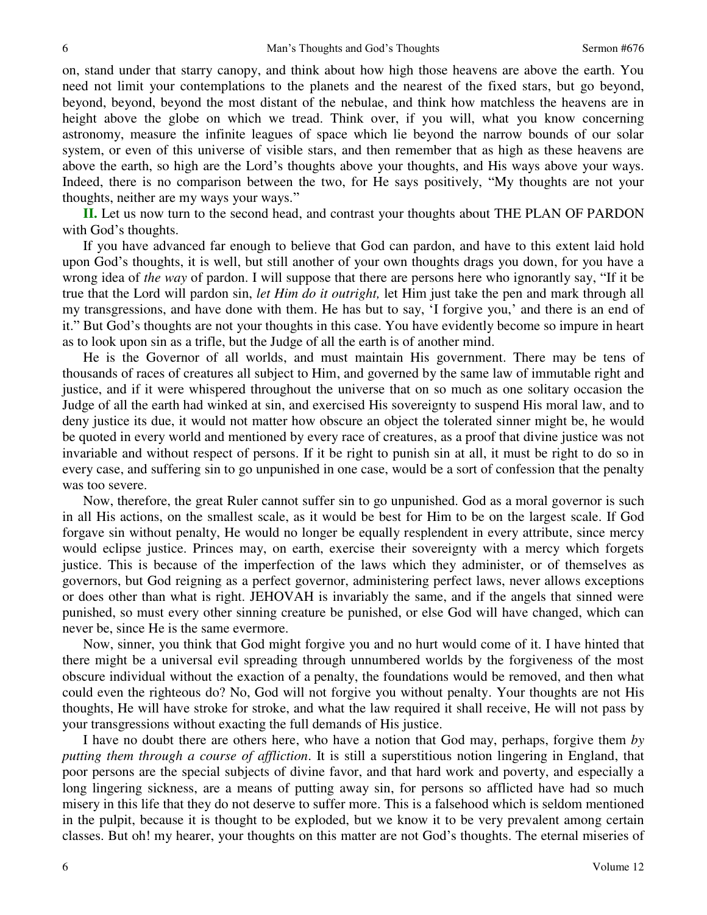on, stand under that starry canopy, and think about how high those heavens are above the earth. You need not limit your contemplations to the planets and the nearest of the fixed stars, but go beyond, beyond, beyond, beyond the most distant of the nebulae, and think how matchless the heavens are in height above the globe on which we tread. Think over, if you will, what you know concerning astronomy, measure the infinite leagues of space which lie beyond the narrow bounds of our solar system, or even of this universe of visible stars, and then remember that as high as these heavens are above the earth, so high are the Lord's thoughts above your thoughts, and His ways above your ways. Indeed, there is no comparison between the two, for He says positively, "My thoughts are not your thoughts, neither are my ways your ways."

**II.** Let us now turn to the second head, and contrast your thoughts about THE PLAN OF PARDON with God's thoughts.

 If you have advanced far enough to believe that God can pardon, and have to this extent laid hold upon God's thoughts, it is well, but still another of your own thoughts drags you down, for you have a wrong idea of *the way* of pardon. I will suppose that there are persons here who ignorantly say, "If it be true that the Lord will pardon sin, *let Him do it outright,* let Him just take the pen and mark through all my transgressions, and have done with them. He has but to say, 'I forgive you,' and there is an end of it." But God's thoughts are not your thoughts in this case. You have evidently become so impure in heart as to look upon sin as a trifle, but the Judge of all the earth is of another mind.

 He is the Governor of all worlds, and must maintain His government. There may be tens of thousands of races of creatures all subject to Him, and governed by the same law of immutable right and justice, and if it were whispered throughout the universe that on so much as one solitary occasion the Judge of all the earth had winked at sin, and exercised His sovereignty to suspend His moral law, and to deny justice its due, it would not matter how obscure an object the tolerated sinner might be, he would be quoted in every world and mentioned by every race of creatures, as a proof that divine justice was not invariable and without respect of persons. If it be right to punish sin at all, it must be right to do so in every case, and suffering sin to go unpunished in one case, would be a sort of confession that the penalty was too severe.

 Now, therefore, the great Ruler cannot suffer sin to go unpunished. God as a moral governor is such in all His actions, on the smallest scale, as it would be best for Him to be on the largest scale. If God forgave sin without penalty, He would no longer be equally resplendent in every attribute, since mercy would eclipse justice. Princes may, on earth, exercise their sovereignty with a mercy which forgets justice. This is because of the imperfection of the laws which they administer, or of themselves as governors, but God reigning as a perfect governor, administering perfect laws, never allows exceptions or does other than what is right. JEHOVAH is invariably the same, and if the angels that sinned were punished, so must every other sinning creature be punished, or else God will have changed, which can never be, since He is the same evermore.

 Now, sinner, you think that God might forgive you and no hurt would come of it. I have hinted that there might be a universal evil spreading through unnumbered worlds by the forgiveness of the most obscure individual without the exaction of a penalty, the foundations would be removed, and then what could even the righteous do? No, God will not forgive you without penalty. Your thoughts are not His thoughts, He will have stroke for stroke, and what the law required it shall receive, He will not pass by your transgressions without exacting the full demands of His justice.

 I have no doubt there are others here, who have a notion that God may, perhaps, forgive them *by putting them through a course of affliction*. It is still a superstitious notion lingering in England, that poor persons are the special subjects of divine favor, and that hard work and poverty, and especially a long lingering sickness, are a means of putting away sin, for persons so afflicted have had so much misery in this life that they do not deserve to suffer more. This is a falsehood which is seldom mentioned in the pulpit, because it is thought to be exploded, but we know it to be very prevalent among certain classes. But oh! my hearer, your thoughts on this matter are not God's thoughts. The eternal miseries of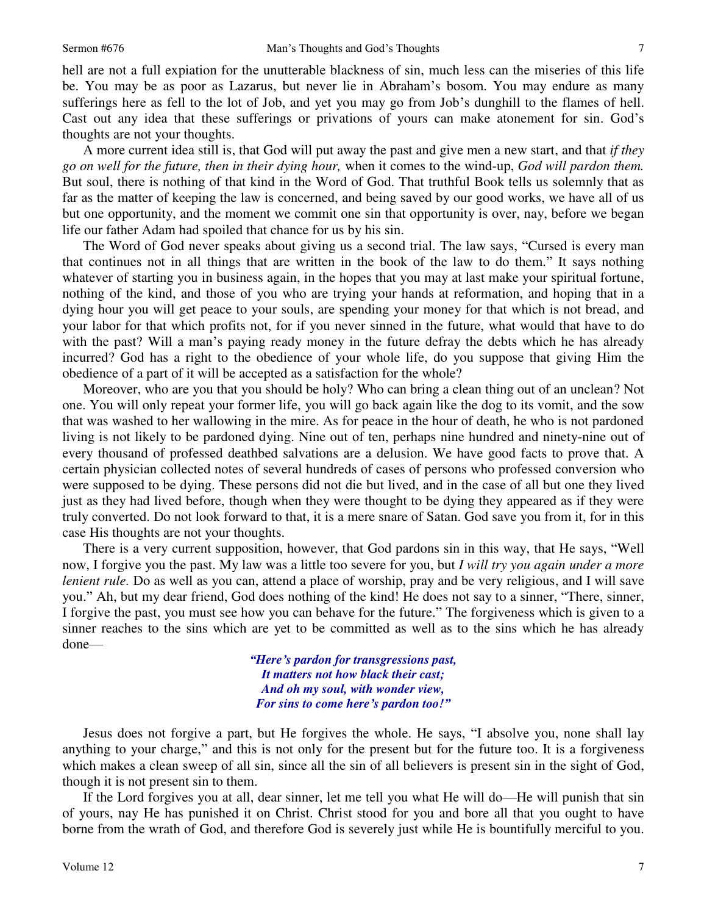hell are not a full expiation for the unutterable blackness of sin, much less can the miseries of this life be. You may be as poor as Lazarus, but never lie in Abraham's bosom. You may endure as many sufferings here as fell to the lot of Job, and yet you may go from Job's dunghill to the flames of hell. Cast out any idea that these sufferings or privations of yours can make atonement for sin. God's thoughts are not your thoughts.

 A more current idea still is, that God will put away the past and give men a new start, and that *if they go on well for the future, then in their dying hour,* when it comes to the wind-up, *God will pardon them.* But soul, there is nothing of that kind in the Word of God. That truthful Book tells us solemnly that as far as the matter of keeping the law is concerned, and being saved by our good works, we have all of us but one opportunity, and the moment we commit one sin that opportunity is over, nay, before we began life our father Adam had spoiled that chance for us by his sin.

 The Word of God never speaks about giving us a second trial. The law says, "Cursed is every man that continues not in all things that are written in the book of the law to do them." It says nothing whatever of starting you in business again, in the hopes that you may at last make your spiritual fortune, nothing of the kind, and those of you who are trying your hands at reformation, and hoping that in a dying hour you will get peace to your souls, are spending your money for that which is not bread, and your labor for that which profits not, for if you never sinned in the future, what would that have to do with the past? Will a man's paying ready money in the future defray the debts which he has already incurred? God has a right to the obedience of your whole life, do you suppose that giving Him the obedience of a part of it will be accepted as a satisfaction for the whole?

 Moreover, who are you that you should be holy? Who can bring a clean thing out of an unclean? Not one. You will only repeat your former life, you will go back again like the dog to its vomit, and the sow that was washed to her wallowing in the mire. As for peace in the hour of death, he who is not pardoned living is not likely to be pardoned dying. Nine out of ten, perhaps nine hundred and ninety-nine out of every thousand of professed deathbed salvations are a delusion. We have good facts to prove that. A certain physician collected notes of several hundreds of cases of persons who professed conversion who were supposed to be dying. These persons did not die but lived, and in the case of all but one they lived just as they had lived before, though when they were thought to be dying they appeared as if they were truly converted. Do not look forward to that, it is a mere snare of Satan. God save you from it, for in this case His thoughts are not your thoughts.

 There is a very current supposition, however, that God pardons sin in this way, that He says, "Well now, I forgive you the past. My law was a little too severe for you, but *I will try you again under a more lenient rule.* Do as well as you can, attend a place of worship, pray and be very religious, and I will save you." Ah, but my dear friend, God does nothing of the kind! He does not say to a sinner, "There, sinner, I forgive the past, you must see how you can behave for the future." The forgiveness which is given to a sinner reaches to the sins which are yet to be committed as well as to the sins which he has already done—

> *"Here's pardon for transgressions past, It matters not how black their cast; And oh my soul, with wonder view, For sins to come here's pardon too!"*

 Jesus does not forgive a part, but He forgives the whole. He says, "I absolve you, none shall lay anything to your charge," and this is not only for the present but for the future too. It is a forgiveness which makes a clean sweep of all sin, since all the sin of all believers is present sin in the sight of God, though it is not present sin to them.

 If the Lord forgives you at all, dear sinner, let me tell you what He will do—He will punish that sin of yours, nay He has punished it on Christ. Christ stood for you and bore all that you ought to have borne from the wrath of God, and therefore God is severely just while He is bountifully merciful to you.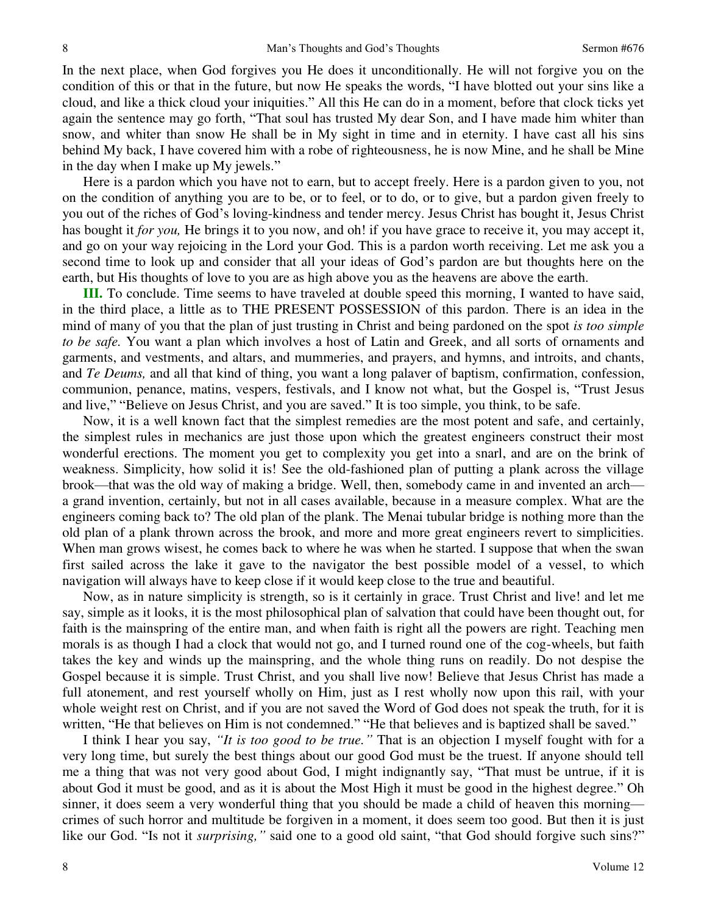In the next place, when God forgives you He does it unconditionally. He will not forgive you on the condition of this or that in the future, but now He speaks the words, "I have blotted out your sins like a cloud, and like a thick cloud your iniquities." All this He can do in a moment, before that clock ticks yet again the sentence may go forth, "That soul has trusted My dear Son, and I have made him whiter than snow, and whiter than snow He shall be in My sight in time and in eternity. I have cast all his sins behind My back, I have covered him with a robe of righteousness, he is now Mine, and he shall be Mine in the day when I make up My jewels."

 Here is a pardon which you have not to earn, but to accept freely. Here is a pardon given to you, not on the condition of anything you are to be, or to feel, or to do, or to give, but a pardon given freely to you out of the riches of God's loving-kindness and tender mercy. Jesus Christ has bought it, Jesus Christ has bought it *for you*, He brings it to you now, and oh! if you have grace to receive it, you may accept it, and go on your way rejoicing in the Lord your God. This is a pardon worth receiving. Let me ask you a second time to look up and consider that all your ideas of God's pardon are but thoughts here on the earth, but His thoughts of love to you are as high above you as the heavens are above the earth.

**III.** To conclude. Time seems to have traveled at double speed this morning, I wanted to have said, in the third place, a little as to THE PRESENT POSSESSION of this pardon. There is an idea in the mind of many of you that the plan of just trusting in Christ and being pardoned on the spot *is too simple to be safe.* You want a plan which involves a host of Latin and Greek, and all sorts of ornaments and garments, and vestments, and altars, and mummeries, and prayers, and hymns, and introits, and chants, and *Te Deums,* and all that kind of thing, you want a long palaver of baptism, confirmation, confession, communion, penance, matins, vespers, festivals, and I know not what, but the Gospel is, "Trust Jesus and live," "Believe on Jesus Christ, and you are saved." It is too simple, you think, to be safe.

 Now, it is a well known fact that the simplest remedies are the most potent and safe, and certainly, the simplest rules in mechanics are just those upon which the greatest engineers construct their most wonderful erections. The moment you get to complexity you get into a snarl, and are on the brink of weakness. Simplicity, how solid it is! See the old-fashioned plan of putting a plank across the village brook—that was the old way of making a bridge. Well, then, somebody came in and invented an arch a grand invention, certainly, but not in all cases available, because in a measure complex. What are the engineers coming back to? The old plan of the plank. The Menai tubular bridge is nothing more than the old plan of a plank thrown across the brook, and more and more great engineers revert to simplicities. When man grows wisest, he comes back to where he was when he started. I suppose that when the swan first sailed across the lake it gave to the navigator the best possible model of a vessel, to which navigation will always have to keep close if it would keep close to the true and beautiful.

 Now, as in nature simplicity is strength, so is it certainly in grace. Trust Christ and live! and let me say, simple as it looks, it is the most philosophical plan of salvation that could have been thought out, for faith is the mainspring of the entire man, and when faith is right all the powers are right. Teaching men morals is as though I had a clock that would not go, and I turned round one of the cog-wheels, but faith takes the key and winds up the mainspring, and the whole thing runs on readily. Do not despise the Gospel because it is simple. Trust Christ, and you shall live now! Believe that Jesus Christ has made a full atonement, and rest yourself wholly on Him, just as I rest wholly now upon this rail, with your whole weight rest on Christ, and if you are not saved the Word of God does not speak the truth, for it is written, "He that believes on Him is not condemned." "He that believes and is baptized shall be saved."

 I think I hear you say, *"It is too good to be true."* That is an objection I myself fought with for a very long time, but surely the best things about our good God must be the truest. If anyone should tell me a thing that was not very good about God, I might indignantly say, "That must be untrue, if it is about God it must be good, and as it is about the Most High it must be good in the highest degree." Oh sinner, it does seem a very wonderful thing that you should be made a child of heaven this morning crimes of such horror and multitude be forgiven in a moment, it does seem too good. But then it is just like our God. "Is not it *surprising*," said one to a good old saint, "that God should forgive such sins?"